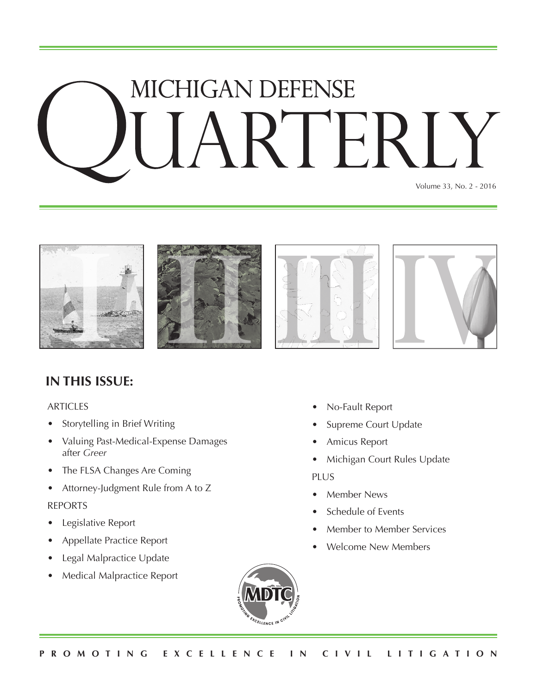# MICHIGAN DEFENSE **RTER**

Volume 33, No. 2 - 2016









### **IN THIS ISSUE:**

#### ARTICLES

- Storytelling in Brief Writing
- Valuing Past-Medical-Expense Damages after *Greer*
- The FLSA Changes Are Coming
- Attorney-Judgment Rule from A to Z

#### REPORTS

- Legislative Report
- Appellate Practice Report
- Legal Malpractice Update
- Medical Malpractice Report
- No-Fault Report
- Supreme Court Update
- Amicus Report
- Michigan Court Rules Update

#### PLUS

- Member News
- Schedule of Events
- Member to Member Services
- Welcome New Members

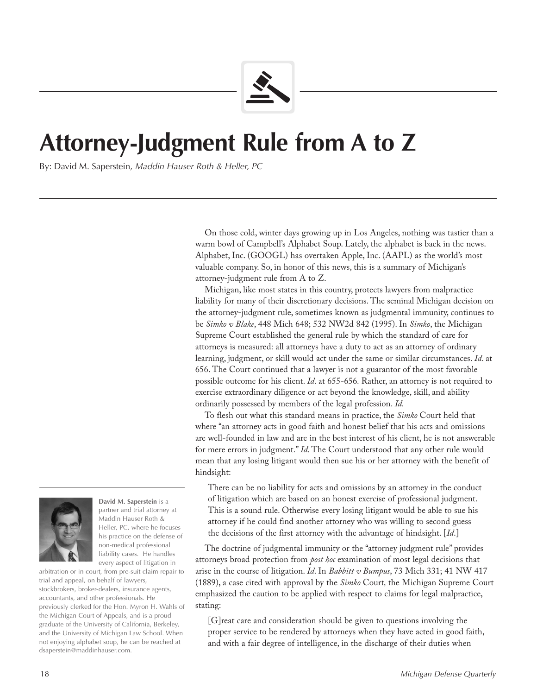

## **Attorney-Judgment Rule from A to Z**

By: David M. Saperstein, *Maddin Hauser Roth & Heller, PC*

On those cold, winter days growing up in Los Angeles, nothing was tastier than a warm bowl of Campbell's Alphabet Soup. Lately, the alphabet is back in the news. Alphabet, Inc. (GOOGL) has overtaken Apple, Inc. (AAPL) as the world's most valuable company. So, in honor of this news, this is a summary of Michigan's attorney-judgment rule from A to Z.

Michigan, like most states in this country, protects lawyers from malpractice liability for many of their discretionary decisions. The seminal Michigan decision on the attorney-judgment rule, sometimes known as judgmental immunity, continues to be *Simko v Blake*, 448 Mich 648; 532 NW2d 842 (1995). In *Simko*, the Michigan Supreme Court established the general rule by which the standard of care for attorneys is measured: all attorneys have a duty to act as an attorney of ordinary learning, judgment, or skill would act under the same or similar circumstances. *Id*. at 656. The Court continued that a lawyer is not a guarantor of the most favorable possible outcome for his client. *Id*. at 655-656*.* Rather, an attorney is not required to exercise extraordinary diligence or act beyond the knowledge, skill, and ability ordinarily possessed by members of the legal profession. *Id.*

To flesh out what this standard means in practice, the *Simko* Court held that where "an attorney acts in good faith and honest belief that his acts and omissions are well-founded in law and are in the best interest of his client, he is not answerable for mere errors in judgment." *Id*. The Court understood that any other rule would mean that any losing litigant would then sue his or her attorney with the benefit of hindsight:

There can be no liability for acts and omissions by an attorney in the conduct of litigation which are based on an honest exercise of professional judgment. This is a sound rule. Otherwise every losing litigant would be able to sue his attorney if he could find another attorney who was willing to second guess the decisions of the first attorney with the advantage of hindsight. [*Id*.]

The doctrine of judgmental immunity or the "attorney judgment rule" provides attorneys broad protection from *post hoc* examination of most legal decisions that arise in the course of litigation. *Id*. In *Babbitt v Bumpus*, 73 Mich 331; 41 NW 417 (1889), a case cited with approval by the *Simko* Court*,* the Michigan Supreme Court emphasized the caution to be applied with respect to claims for legal malpractice, stating:

[G]reat care and consideration should be given to questions involving the proper service to be rendered by attorneys when they have acted in good faith, and with a fair degree of intelligence, in the discharge of their duties when



**David M. Saperstein** is a partner and trial attorney at Maddin Hauser Roth & Heller, PC, where he focuses his practice on the defense of non-medical professional liability cases. He handles every aspect of litigation in

arbitration or in court, from pre-suit claim repair to trial and appeal, on behalf of lawyers, stockbrokers, broker-dealers, insurance agents, accountants, and other professionals. He previously clerked for the Hon. Myron H. Wahls of the Michigan Court of Appeals, and is a proud graduate of the University of California, Berkeley, and the University of Michigan Law School. When not enjoying alphabet soup, he can be reached at dsaperstein@maddinhauser.com.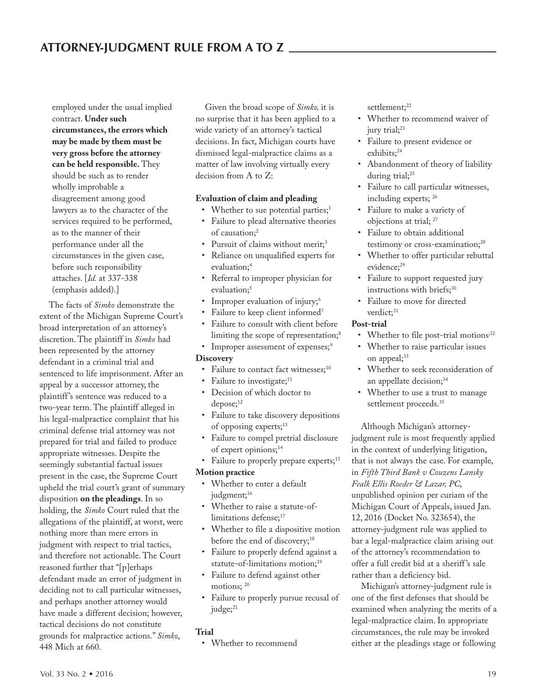employed under the usual implied contract. **Under such circumstances, the errors which may be made by them must be very gross before the attorney can be held responsible.** They should be such as to render wholly improbable a disagreement among good lawyers as to the character of the services required to be performed, as to the manner of their performance under all the circumstances in the given case, before such responsibility attaches. [*Id.* at 337-338 (emphasis added).]

The facts of *Simko* demonstrate the extent of the Michigan Supreme Court's broad interpretation of an attorney's discretion. The plaintiff in *Simko* had been represented by the attorney defendant in a criminal trial and sentenced to life imprisonment. After an appeal by a successor attorney, the plaintiff 's sentence was reduced to a two-year term. The plaintiff alleged in his legal-malpractice complaint that his criminal defense trial attorney was not prepared for trial and failed to produce appropriate witnesses. Despite the seemingly substantial factual issues present in the case, the Supreme Court upheld the trial court's grant of summary disposition **on the pleadings**. In so holding, the *Simko* Court ruled that the allegations of the plaintiff, at worst, were nothing more than mere errors in judgment with respect to trial tactics, and therefore not actionable. The Court reasoned further that "[p]erhaps defendant made an error of judgment in deciding not to call particular witnesses, and perhaps another attorney would have made a different decision; however, tactical decisions do not constitute grounds for malpractice actions." *Simko*, 448 Mich at 660.

Given the broad scope of *Simko,* it is no surprise that it has been applied to a wide variety of an attorney's tactical decisions. In fact, Michigan courts have dismissed legal-malpractice claims as a matter of law involving virtually every decision from A to Z:

#### **Evaluation of claim and pleading**

- Whether to sue potential parties;<sup>1</sup>
- Failure to plead alternative theories of causation;<sup>2</sup>
- Pursuit of claims without merit;<sup>3</sup>
- Reliance on unqualified experts for evaluation;<sup>4</sup>
- Referral to improper physician for evaluation;<sup>5</sup>
- Improper evaluation of injury;<sup>6</sup>
- Failure to keep client informed<sup>7</sup>
- Failure to consult with client before limiting the scope of representation;<sup>8</sup>
- Improper assessment of expenses;9

#### **Discovery**

- Failure to contact fact witnesses;<sup>10</sup>
- Failure to investigate;<sup>11</sup>
- Decision of which doctor to depose;<sup>12</sup>
- Failure to take discovery depositions of opposing experts;<sup>13</sup>
- Failure to compel pretrial disclosure of expert opinions;<sup>14</sup>
- Failure to properly prepare experts;<sup>15</sup> **Motion practice**
	- Whether to enter a default judgment;<sup>16</sup>
	- Whether to raise a statute-oflimitations defense;<sup>17</sup>
	- Whether to file a dispositive motion before the end of discovery;<sup>18</sup>
	- Failure to properly defend against a statute-of-limitations motion;19
- Failure to defend against other motions; 20
- Failure to properly pursue recusal of judge;<sup>21</sup>

#### **Trial**

• Whether to recommend

settlement;<sup>22</sup>

- Whether to recommend waiver of jury trial;<sup>23</sup>
- Failure to present evidence or exhibits;<sup>24</sup>
- Abandonment of theory of liability during trial;<sup>25</sup>
- Failure to call particular witnesses, including experts; 26
- Failure to make a variety of objections at trial; 27
- Failure to obtain additional testimony or cross-examination;<sup>28</sup>
- Whether to offer particular rebuttal evidence;<sup>29</sup>
- Failure to support requested jury instructions with briefs;<sup>30</sup>
- Failure to move for directed verdict:<sup>31</sup>

#### **Post-trial**

- Whether to file post-trial motions<sup>;32</sup>
- Whether to raise particular issues on appeal;<sup>33</sup>
- Whether to seek reconsideration of an appellate decision;<sup>34</sup>
- Whether to use a trust to manage settlement proceeds.<sup>35</sup>

Although Michigan's attorneyjudgment rule is most frequently applied in the context of underlying litigation, that is not always the case. For example, in *Fifth Third Bank v Couzens Lansky Fealk Ellis Roeder & Lazar, PC*, unpublished opinion per curiam of the Michigan Court of Appeals, issued Jan. 12, 2016 (Docket No. 323654), the attorney-judgment rule was applied to bar a legal-malpractice claim arising out of the attorney's recommendation to offer a full credit bid at a sheriff 's sale rather than a deficiency bid.

Michigan's attorney-judgment rule is one of the first defenses that should be examined when analyzing the merits of a legal-malpractice claim. In appropriate circumstances, the rule may be invoked either at the pleadings stage or following